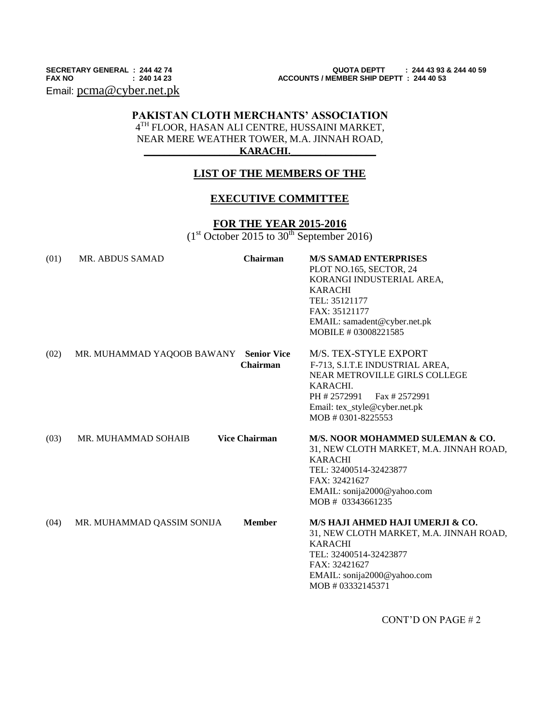Email: [pcma@cyber.net.pk](mailto:pcma@cyber.net.pk)

# **PAKISTAN CLOTH MERCHANTS' ASSOCIATION** 4 TH FLOOR, HASAN ALI CENTRE, HUSSAINI MARKET, NEAR MERE WEATHER TOWER, M.A. JINNAH ROAD,

### $KARACHI.$

## **LIST OF THE MEMBERS OF THE**

#### **EXECUTIVE COMMITTEE**

### **FOR THE YEAR 2015-2016**

 $(1<sup>st</sup> October 2015 to 30<sup>th</sup> September 2016)$ 

| (01) | <b>MR. ABDUS SAMAD</b>     | Chairman                       | <b>M/S SAMAD ENTERPRISES</b><br>PLOT NO.165, SECTOR, 24<br>KORANGI INDUSTERIAL AREA,<br><b>KARACHI</b><br>TEL: 35121177<br>FAX: 35121177<br>EMAIL: samadent@cyber.net.pk<br>MOBILE # 03008221585 |
|------|----------------------------|--------------------------------|--------------------------------------------------------------------------------------------------------------------------------------------------------------------------------------------------|
| (02) | MR. MUHAMMAD YAQOOB BAWANY | <b>Senior Vice</b><br>Chairman | M/S. TEX-STYLE EXPORT<br>F-713, S.I.T.E INDUSTRIAL AREA,<br>NEAR METROVILLE GIRLS COLLEGE<br>KARACHI.<br>PH #2572991<br>Fax # 2572991<br>Email: tex_style@cyber.net.pk<br>MOB # 0301-8225553     |
| (03) | MR. MUHAMMAD SOHAIB        | <b>Vice Chairman</b>           | M/S. NOOR MOHAMMED SULEMAN & CO.<br>31, NEW CLOTH MARKET, M.A. JINNAH ROAD,<br><b>KARACHI</b><br>TEL: 32400514-32423877<br>FAX: 32421627<br>EMAIL: sonija2000@yahoo.com<br>MOB # 03343661235     |
| (04) | MR. MUHAMMAD QASSIM SONIJA | <b>Member</b>                  | M/S HAJI AHMED HAJI UMERJI & CO.<br>31, NEW CLOTH MARKET, M.A. JINNAH ROAD,<br><b>KARACHI</b><br>TEL: 32400514-32423877<br>FAX: 32421627<br>EMAIL: sonija2000@yahoo.com<br>MOB # 03332145371     |

CONT'D ON PAGE # 2